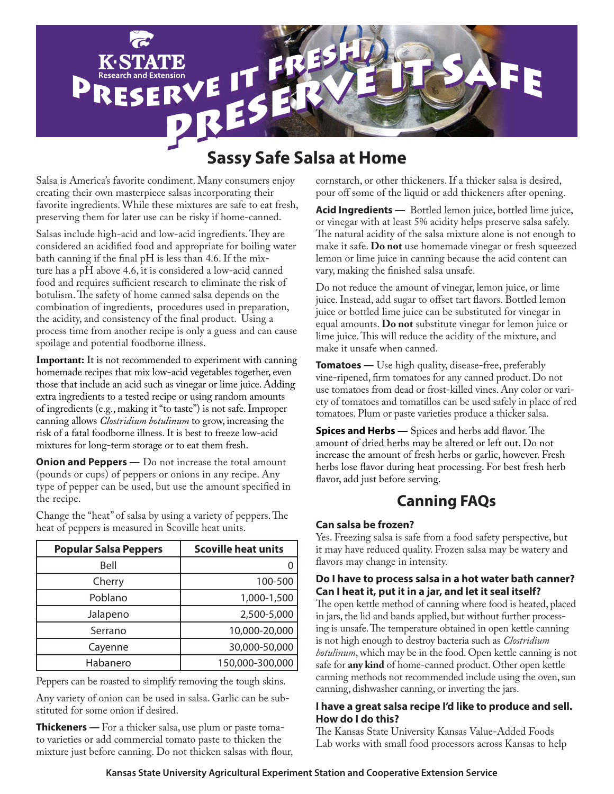

# **Sassy Safe Salsa at Home**

Salsa is America's favorite condiment. Many consumers enjoy creating their own masterpiece salsas incorporating their favorite ingredients. While these mixtures are safe to eat fresh, preserving them for later use can be risky if home-canned.

Salsas include high-acid and low-acid ingredients. They are considered an acidified food and appropriate for boiling water bath canning if the final pH is less than 4.6. If the mixture has a pH above 4.6, it is considered a low-acid canned food and requires sufficient research to eliminate the risk of botulism. The safety of home canned salsa depends on the combination of ingredients, procedures used in preparation, the acidity, and consistency of the final product. Using a process time from another recipe is only a guess and can cause spoilage and potential foodborne illness.

**Important:** It is not recommended to experiment with canning homemade recipes that mix low-acid vegetables together, even those that include an acid such as vinegar or lime juice. Adding extra ingredients to a tested recipe or using random amounts of ingredients (e.g., making it "to taste") is not safe. Improper canning allows *Clostridium botulinum* to grow, increasing the risk of a fatal foodborne illness. It is best to freeze low-acid mixtures for long-term storage or to eat them fresh.

**Onion and Peppers** — Do not increase the total amount (pounds or cups) of peppers or onions in any recipe. Any type of pepper can be used, but use the amount specified in the recipe.

| <b>Popular Salsa Peppers</b> | <b>Scoville heat units</b> |
|------------------------------|----------------------------|
| Bell                         |                            |
| Cherry                       | 100-500                    |
| Poblano                      | 1,000-1,500                |
| Jalapeno                     | 2,500-5,000                |
| Serrano                      | 10,000-20,000              |
| Cayenne                      | 30,000-50,000              |
| Habanero                     | 150,000-300,000            |

Change the "heat" of salsa by using a variety of peppers. The heat of peppers is measured in Scoville heat units.

Peppers can be roasted to simplify removing the tough skins.

Any variety of onion can be used in salsa. Garlic can be substituted for some onion if desired.

**Thickeners —** For a thicker salsa, use plum or paste tomato varieties or add commercial tomato paste to thicken the mixture just before canning. Do not thicken salsas with flour, cornstarch, or other thickeners. If a thicker salsa is desired, pour off some of the liquid or add thickeners after opening.

**Acid Ingredients —** Bottled lemon juice, bottled lime juice, or vinegar with at least 5% acidity helps preserve salsa safely. The natural acidity of the salsa mixture alone is not enough to make it safe. **Do not** use homemade vinegar or fresh squeezed lemon or lime juice in canning because the acid content can vary, making the finished salsa unsafe.

Do not reduce the amount of vinegar, lemon juice, or lime juice. Instead, add sugar to offset tart flavors. Bottled lemon juice or bottled lime juice can be substituted for vinegar in equal amounts. **Do not** substitute vinegar for lemon juice or lime juice. This will reduce the acidity of the mixture, and make it unsafe when canned.

**Tomatoes —** Use high quality, disease-free, preferably vine-ripened, firm tomatoes for any canned product. Do not use tomatoes from dead or frost-killed vines. Any color or variety of tomatoes and tomatillos can be used safely in place of red tomatoes. Plum or paste varieties produce a thicker salsa.

**Spices and Herbs** — Spices and herbs add flavor. The amount of dried herbs may be altered or left out. Do not increase the amount of fresh herbs or garlic, however. Fresh herbs lose flavor during heat processing. For best fresh herb flavor, add just before serving.

### **Canning FAQs**

### **Can salsa be frozen?**

Yes. Freezing salsa is safe from a food safety perspective, but it may have reduced quality. Frozen salsa may be watery and flavors may change in intensity.

### **Do I have to process salsa in a hot water bath canner? Can I heat it, put it in a jar, and let it seal itself?**

The open kettle method of canning where food is heated, placed in jars, the lid and bands applied, but without further processing is unsafe. The temperature obtained in open kettle canning is not high enough to destroy bacteria such as *Clostridium botulinum*, which may be in the food. Open kettle canning is not safe for **any kind** of home-canned product. Other open kettle canning methods not recommended include using the oven, sun canning, dishwasher canning, or inverting the jars.

### **I have a great salsa recipe I'd like to produce and sell. How do I do this?**

The Kansas State University Kansas Value-Added Foods Lab works with small food processors across Kansas to help